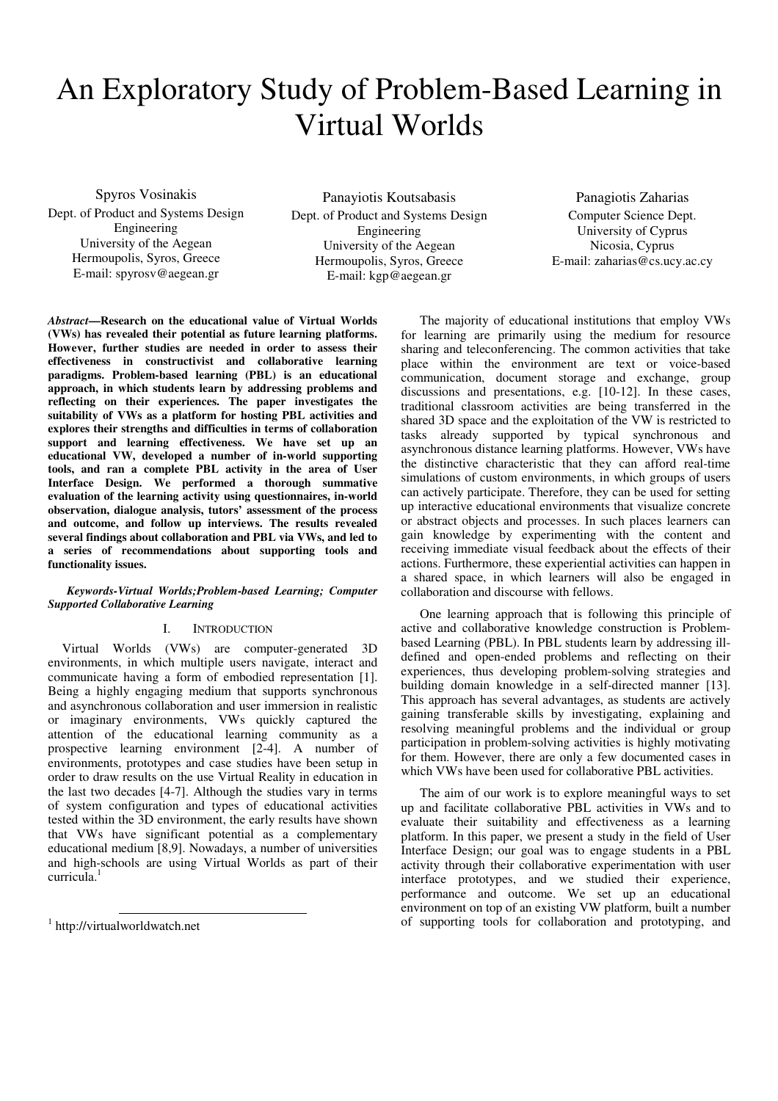# An Exploratory Study of Problem-Based Learning in Virtual Worlds

Spyros Vosinakis Dept. of Product and Systems Design Engineering University of the Aegean Hermoupolis, Syros, Greece E-mail: spyrosv@aegean.gr

Panayiotis Koutsabasis Dept. of Product and Systems Design Engineering University of the Aegean Hermoupolis, Syros, Greece E-mail: kgp@aegean.gr

Panagiotis Zaharias Computer Science Dept. University of Cyprus Nicosia, Cyprus E-mail: zaharias@cs.ucy.ac.cy

*Abstract***—Research on the educational value of Virtual Worlds (VWs) has revealed their potential as future learning platforms. However, further studies are needed in order to assess their effectiveness in constructivist and collaborative learning paradigms. Problem-based learning (PBL) is an educational approach, in which students learn by addressing problems and reflecting on their experiences. The paper investigates the suitability of VWs as a platform for hosting PBL activities and explores their strengths and difficulties in terms of collaboration support and learning effectiveness. We have set up an educational VW, developed a number of in-world supporting tools, and ran a complete PBL activity in the area of User Interface Design. We performed a thorough summative evaluation of the learning activity using questionnaires, in-world observation, dialogue analysis, tutors' assessment of the process and outcome, and follow up interviews. The results revealed several findings about collaboration and PBL via VWs, and led to a series of recommendations about supporting tools and functionality issues.** 

## *Keywords-Virtual Worlds;Problem-based Learning; Computer Supported Collaborative Learning*

## I. INTRODUCTION

Virtual Worlds (VWs) are computer-generated 3D environments, in which multiple users navigate, interact and communicate having a form of embodied representation [1]. Being a highly engaging medium that supports synchronous and asynchronous collaboration and user immersion in realistic or imaginary environments, VWs quickly captured the attention of the educational learning community as a prospective learning environment [2-4]. A number of environments, prototypes and case studies have been setup in order to draw results on the use Virtual Reality in education in the last two decades [4-7]. Although the studies vary in terms of system configuration and types of educational activities tested within the 3D environment, the early results have shown that VWs have significant potential as a complementary educational medium [8,9]. Nowadays, a number of universities and high-schools are using Virtual Worlds as part of their curricula.<sup>1</sup>

The majority of educational institutions that employ VWs for learning are primarily using the medium for resource sharing and teleconferencing. The common activities that take place within the environment are text or voice-based communication, document storage and exchange, group discussions and presentations, e.g. [10-12]. In these cases, traditional classroom activities are being transferred in the shared 3D space and the exploitation of the VW is restricted to tasks already supported by typical synchronous and asynchronous distance learning platforms. However, VWs have the distinctive characteristic that they can afford real-time simulations of custom environments, in which groups of users can actively participate. Therefore, they can be used for setting up interactive educational environments that visualize concrete or abstract objects and processes. In such places learners can gain knowledge by experimenting with the content and receiving immediate visual feedback about the effects of their actions. Furthermore, these experiential activities can happen in a shared space, in which learners will also be engaged in collaboration and discourse with fellows.

One learning approach that is following this principle of active and collaborative knowledge construction is Problembased Learning (PBL). In PBL students learn by addressing illdefined and open-ended problems and reflecting on their experiences, thus developing problem-solving strategies and building domain knowledge in a self-directed manner [13]. This approach has several advantages, as students are actively gaining transferable skills by investigating, explaining and resolving meaningful problems and the individual or group participation in problem-solving activities is highly motivating for them. However, there are only a few documented cases in which VWs have been used for collaborative PBL activities.

The aim of our work is to explore meaningful ways to set up and facilitate collaborative PBL activities in VWs and to evaluate their suitability and effectiveness as a learning platform. In this paper, we present a study in the field of User Interface Design; our goal was to engage students in a PBL activity through their collaborative experimentation with user interface prototypes, and we studied their experience, performance and outcome. We set up an educational environment on top of an existing VW platform, built a number of supporting tools for collaboration and prototyping, and

 1 http://virtualworldwatch.net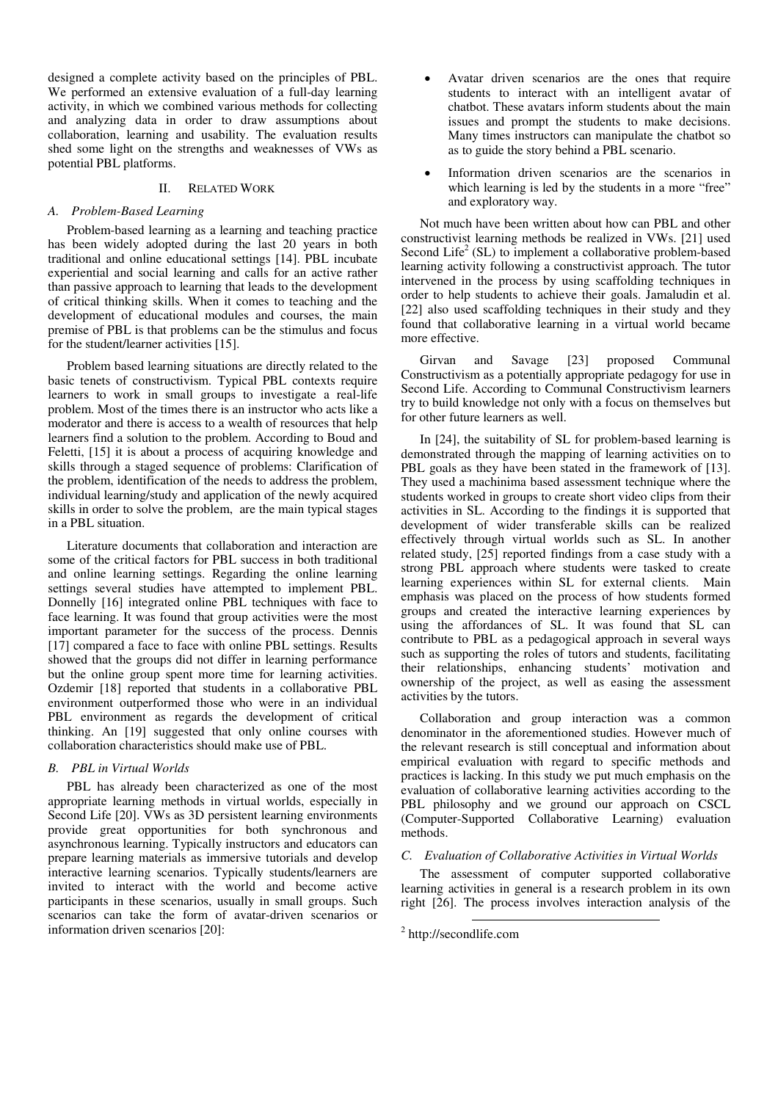designed a complete activity based on the principles of PBL. We performed an extensive evaluation of a full-day learning activity, in which we combined various methods for collecting and analyzing data in order to draw assumptions about collaboration, learning and usability. The evaluation results shed some light on the strengths and weaknesses of VWs as potential PBL platforms.

#### II. RELATED WORK

## *A. Problem-Based Learning*

Problem-based learning as a learning and teaching practice has been widely adopted during the last 20 years in both traditional and online educational settings [14]. PBL incubate experiential and social learning and calls for an active rather than passive approach to learning that leads to the development of critical thinking skills. When it comes to teaching and the development of educational modules and courses, the main premise of PBL is that problems can be the stimulus and focus for the student/learner activities [15].

Problem based learning situations are directly related to the basic tenets of constructivism. Typical PBL contexts require learners to work in small groups to investigate a real-life problem. Most of the times there is an instructor who acts like a moderator and there is access to a wealth of resources that help learners find a solution to the problem. According to Boud and Feletti, [15] it is about a process of acquiring knowledge and skills through a staged sequence of problems: Clarification of the problem, identification of the needs to address the problem, individual learning/study and application of the newly acquired skills in order to solve the problem, are the main typical stages in a PBL situation.

Literature documents that collaboration and interaction are some of the critical factors for PBL success in both traditional and online learning settings. Regarding the online learning settings several studies have attempted to implement PBL. Donnelly [16] integrated online PBL techniques with face to face learning. It was found that group activities were the most important parameter for the success of the process. Dennis [17] compared a face to face with online PBL settings. Results showed that the groups did not differ in learning performance but the online group spent more time for learning activities. Ozdemir [18] reported that students in a collaborative PBL environment outperformed those who were in an individual PBL environment as regards the development of critical thinking. An [19] suggested that only online courses with collaboration characteristics should make use of PBL.

## *B. PBL in Virtual Worlds*

PBL has already been characterized as one of the most appropriate learning methods in virtual worlds, especially in Second Life [20]. VWs as 3D persistent learning environments provide great opportunities for both synchronous and asynchronous learning. Typically instructors and educators can prepare learning materials as immersive tutorials and develop interactive learning scenarios. Typically students/learners are invited to interact with the world and become active participants in these scenarios, usually in small groups. Such scenarios can take the form of avatar-driven scenarios or information driven scenarios [20]:

- Avatar driven scenarios are the ones that require students to interact with an intelligent avatar of chatbot. These avatars inform students about the main issues and prompt the students to make decisions. Many times instructors can manipulate the chatbot so as to guide the story behind a PBL scenario.
- Information driven scenarios are the scenarios in which learning is led by the students in a more "free" and exploratory way.

Not much have been written about how can PBL and other constructivist learning methods be realized in VWs. [21] used Second Life<sup>2</sup> (SL) to implement a collaborative problem-based learning activity following a constructivist approach. The tutor intervened in the process by using scaffolding techniques in order to help students to achieve their goals. Jamaludin et al. [22] also used scaffolding techniques in their study and they found that collaborative learning in a virtual world became more effective.

Girvan and Savage [23] proposed Communal Constructivism as a potentially appropriate pedagogy for use in Second Life. According to Communal Constructivism learners try to build knowledge not only with a focus on themselves but for other future learners as well.

In [24], the suitability of SL for problem-based learning is demonstrated through the mapping of learning activities on to PBL goals as they have been stated in the framework of [13]. They used a machinima based assessment technique where the students worked in groups to create short video clips from their activities in SL. According to the findings it is supported that development of wider transferable skills can be realized effectively through virtual worlds such as SL. In another related study, [25] reported findings from a case study with a strong PBL approach where students were tasked to create learning experiences within SL for external clients. Main emphasis was placed on the process of how students formed groups and created the interactive learning experiences by using the affordances of SL. It was found that SL can contribute to PBL as a pedagogical approach in several ways such as supporting the roles of tutors and students, facilitating their relationships, enhancing students' motivation and ownership of the project, as well as easing the assessment activities by the tutors.

Collaboration and group interaction was a common denominator in the aforementioned studies. However much of the relevant research is still conceptual and information about empirical evaluation with regard to specific methods and practices is lacking. In this study we put much emphasis on the evaluation of collaborative learning activities according to the PBL philosophy and we ground our approach on CSCL (Computer-Supported Collaborative Learning) evaluation methods.

## *C. Evaluation of Collaborative Activities in Virtual Worlds*

The assessment of computer supported collaborative learning activities in general is a research problem in its own right [26]. The process involves interaction analysis of the

 $\overline{a}$ 

<sup>2</sup> http://secondlife.com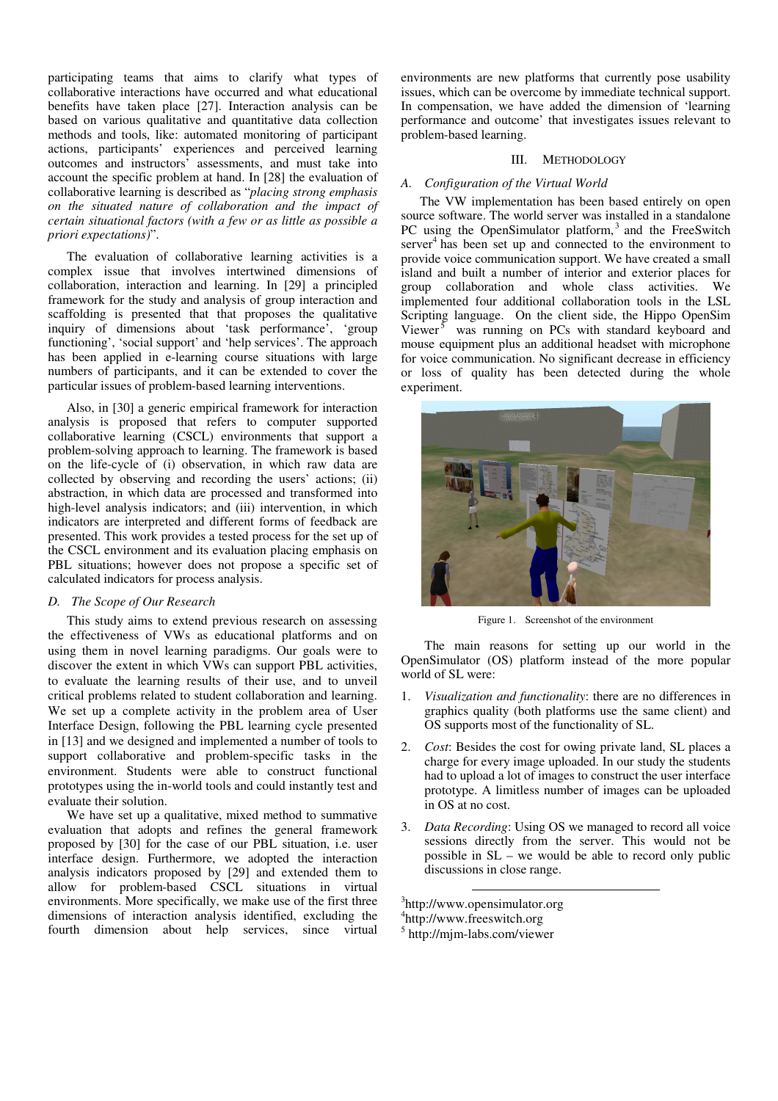participating teams that aims to clarify what types of collaborative interactions have occurred and what educational benefits have taken place [27]. Interaction analysis can be based on various qualitative and quantitative data collection methods and tools, like: automated monitoring of participant actions, participants' experiences and perceived learning outcomes and instructors' assessments, and must take into account the specific problem at hand. In [28] the evaluation of collaborative learning is described as "*placing strong emphasis on the situated nature of collaboration and the impact of certain situational factors (with a few or as little as possible a priori expectations)*".

The evaluation of collaborative learning activities is a complex issue that involves intertwined dimensions of collaboration, interaction and learning. In [29] a principled framework for the study and analysis of group interaction and scaffolding is presented that that proposes the qualitative inquiry of dimensions about 'task performance', 'group functioning', 'social support' and 'help services'. The approach has been applied in e-learning course situations with large numbers of participants, and it can be extended to cover the particular issues of problem-based learning interventions.

Also, in [30] a generic empirical framework for interaction analysis is proposed that refers to computer supported collaborative learning (CSCL) environments that support a problem-solving approach to learning. The framework is based on the life-cycle of (i) observation, in which raw data are collected by observing and recording the users' actions; (ii) abstraction, in which data are processed and transformed into high-level analysis indicators; and (iii) intervention, in which indicators are interpreted and different forms of feedback are presented. This work provides a tested process for the set up of the CSCL environment and its evaluation placing emphasis on PBL situations; however does not propose a specific set of calculated indicators for process analysis.

#### *D. The Scope of Our Research*

This study aims to extend previous research on assessing the effectiveness of VWs as educational platforms and on using them in novel learning paradigms. Our goals were to discover the extent in which VWs can support PBL activities, to evaluate the learning results of their use, and to unveil critical problems related to student collaboration and learning. We set up a complete activity in the problem area of User Interface Design, following the PBL learning cycle presented in [13] and we designed and implemented a number of tools to support collaborative and problem-specific tasks in the environment. Students were able to construct functional prototypes using the in-world tools and could instantly test and evaluate their solution.

We have set up a qualitative, mixed method to summative evaluation that adopts and refines the general framework proposed by [30] for the case of our PBL situation, i.e. user interface design. Furthermore, we adopted the interaction analysis indicators proposed by [29] and extended them to allow for problem-based CSCL situations in virtual environments. More specifically, we make use of the first three dimensions of interaction analysis identified, excluding the fourth dimension about help services, since virtual

environments are new platforms that currently pose usability issues, which can be overcome by immediate technical support. In compensation, we have added the dimension of 'learning performance and outcome' that investigates issues relevant to problem-based learning.

#### III. METHODOLOGY

#### *A. Configuration of the Virtual World*

The VW implementation has been based entirely on open source software. The world server was installed in a standalone PC using the OpenSimulator platform,<sup>3</sup> and the FreeSwitch server<sup>4</sup> has been set up and connected to the environment to provide voice communication support. We have created a small island and built a number of interior and exterior places for group collaboration and whole class activities. We implemented four additional collaboration tools in the LSL Scripting language. On the client side, the Hippo OpenSim Viewer<sup>5</sup> was running on PCs with standard keyboard and mouse equipment plus an additional headset with microphone for voice communication. No significant decrease in efficiency or loss of quality has been detected during the whole experiment.



Figure 1. Screenshot of the environment

The main reasons for setting up our world in the OpenSimulator (OS) platform instead of the more popular world of SL were:

- 1. *Visualization and functionality*: there are no differences in graphics quality (both platforms use the same client) and OS supports most of the functionality of SL.
- 2. *Cost*: Besides the cost for owing private land, SL places a charge for every image uploaded. In our study the students had to upload a lot of images to construct the user interface prototype. A limitless number of images can be uploaded in OS at no cost.
- 3. *Data Recording*: Using OS we managed to record all voice sessions directly from the server. This would not be possible in SL – we would be able to record only public discussions in close range.

3 http://www.opensimulator.org

 $\overline{a}$ 

5 http://mjm-labs.com/viewer

<sup>4</sup> http://www.freeswitch.org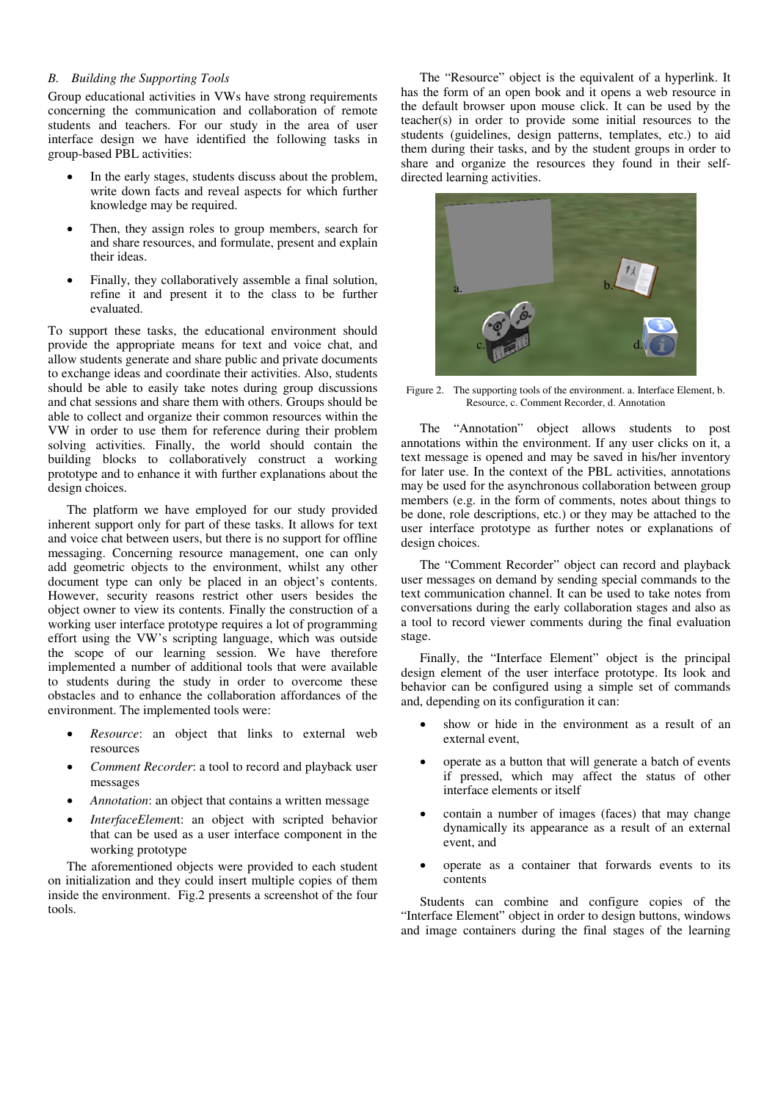## *B. Building the Supporting Tools*

Group educational activities in VWs have strong requirements concerning the communication and collaboration of remote students and teachers. For our study in the area of user interface design we have identified the following tasks in group-based PBL activities:

- In the early stages, students discuss about the problem, write down facts and reveal aspects for which further knowledge may be required.
- Then, they assign roles to group members, search for and share resources, and formulate, present and explain their ideas.
- Finally, they collaboratively assemble a final solution, refine it and present it to the class to be further evaluated.

To support these tasks, the educational environment should provide the appropriate means for text and voice chat, and allow students generate and share public and private documents to exchange ideas and coordinate their activities. Also, students should be able to easily take notes during group discussions and chat sessions and share them with others. Groups should be able to collect and organize their common resources within the VW in order to use them for reference during their problem solving activities. Finally, the world should contain the building blocks to collaboratively construct a working prototype and to enhance it with further explanations about the design choices.

The platform we have employed for our study provided inherent support only for part of these tasks. It allows for text and voice chat between users, but there is no support for offline messaging. Concerning resource management, one can only add geometric objects to the environment, whilst any other document type can only be placed in an object's contents. However, security reasons restrict other users besides the object owner to view its contents. Finally the construction of a working user interface prototype requires a lot of programming effort using the VW's scripting language, which was outside the scope of our learning session. We have therefore implemented a number of additional tools that were available to students during the study in order to overcome these obstacles and to enhance the collaboration affordances of the environment. The implemented tools were:

- *Resource*: an object that links to external web resources
- *Comment Recorder*: a tool to record and playback user messages
- *Annotation*: an object that contains a written message
- *InterfaceElemen*t: an object with scripted behavior that can be used as a user interface component in the working prototype

The aforementioned objects were provided to each student on initialization and they could insert multiple copies of them inside the environment. Fig.2 presents a screenshot of the four tools.

The "Resource" object is the equivalent of a hyperlink. It has the form of an open book and it opens a web resource in the default browser upon mouse click. It can be used by the teacher(s) in order to provide some initial resources to the students (guidelines, design patterns, templates, etc.) to aid them during their tasks, and by the student groups in order to share and organize the resources they found in their selfdirected learning activities.



Figure 2. The supporting tools of the environment. a. Interface Element, b. Resource, c. Comment Recorder, d. Annotation

The "Annotation" object allows students to post annotations within the environment. If any user clicks on it, a text message is opened and may be saved in his/her inventory for later use. In the context of the PBL activities, annotations may be used for the asynchronous collaboration between group members (e.g. in the form of comments, notes about things to be done, role descriptions, etc.) or they may be attached to the user interface prototype as further notes or explanations of design choices.

The "Comment Recorder" object can record and playback user messages on demand by sending special commands to the text communication channel. It can be used to take notes from conversations during the early collaboration stages and also as a tool to record viewer comments during the final evaluation stage.

Finally, the "Interface Element" object is the principal design element of the user interface prototype. Its look and behavior can be configured using a simple set of commands and, depending on its configuration it can:

- show or hide in the environment as a result of an external event,
- operate as a button that will generate a batch of events if pressed, which may affect the status of other interface elements or itself
- contain a number of images (faces) that may change dynamically its appearance as a result of an external event, and
- operate as a container that forwards events to its contents

Students can combine and configure copies of the "Interface Element" object in order to design buttons, windows and image containers during the final stages of the learning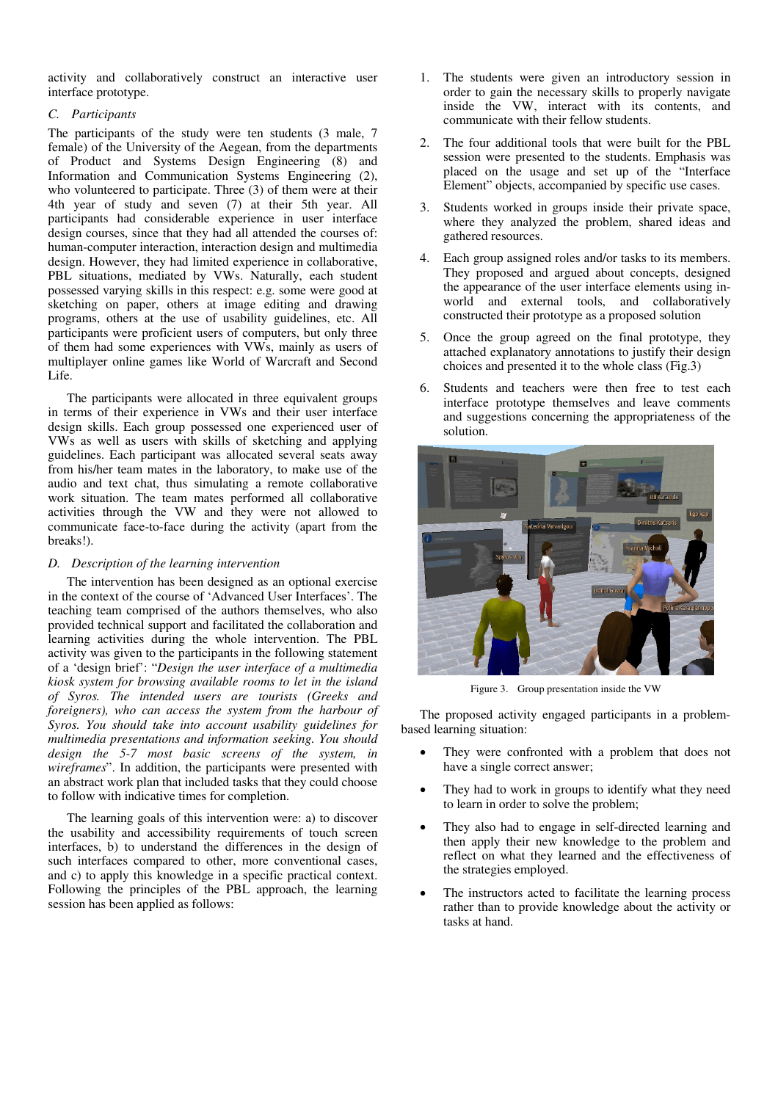activity and collaboratively construct an interactive user interface prototype.

## *C. Participants*

The participants of the study were ten students (3 male, 7 female) of the University of the Aegean, from the departments of Product and Systems Design Engineering (8) and Information and Communication Systems Engineering (2), who volunteered to participate. Three  $(3)$  of them were at their 4th year of study and seven (7) at their 5th year. All participants had considerable experience in user interface design courses, since that they had all attended the courses of: human-computer interaction, interaction design and multimedia design. However, they had limited experience in collaborative, PBL situations, mediated by VWs. Naturally, each student possessed varying skills in this respect: e.g. some were good at sketching on paper, others at image editing and drawing programs, others at the use of usability guidelines, etc. All participants were proficient users of computers, but only three of them had some experiences with VWs, mainly as users of multiplayer online games like World of Warcraft and Second Life.

The participants were allocated in three equivalent groups in terms of their experience in VWs and their user interface design skills. Each group possessed one experienced user of VWs as well as users with skills of sketching and applying guidelines. Each participant was allocated several seats away from his/her team mates in the laboratory, to make use of the audio and text chat, thus simulating a remote collaborative work situation. The team mates performed all collaborative activities through the VW and they were not allowed to communicate face-to-face during the activity (apart from the breaks!).

## *D. Description of the learning intervention*

The intervention has been designed as an optional exercise in the context of the course of 'Advanced User Interfaces'. The teaching team comprised of the authors themselves, who also provided technical support and facilitated the collaboration and learning activities during the whole intervention. The PBL activity was given to the participants in the following statement of a 'design brief': "*Design the user interface of a multimedia kiosk system for browsing available rooms to let in the island of Syros. The intended users are tourists (Greeks and foreigners), who can access the system from the harbour of Syros. You should take into account usability guidelines for multimedia presentations and information seeking. You should design the 5-7 most basic screens of the system, in wireframes*". In addition, the participants were presented with an abstract work plan that included tasks that they could choose to follow with indicative times for completion.

The learning goals of this intervention were: a) to discover the usability and accessibility requirements of touch screen interfaces, b) to understand the differences in the design of such interfaces compared to other, more conventional cases, and c) to apply this knowledge in a specific practical context. Following the principles of the PBL approach, the learning session has been applied as follows:

- 1. The students were given an introductory session in order to gain the necessary skills to properly navigate inside the VW, interact with its contents, and communicate with their fellow students.
- 2. The four additional tools that were built for the PBL session were presented to the students. Emphasis was placed on the usage and set up of the "Interface Element" objects, accompanied by specific use cases.
- 3. Students worked in groups inside their private space, where they analyzed the problem, shared ideas and gathered resources.
- 4. Each group assigned roles and/or tasks to its members. They proposed and argued about concepts, designed the appearance of the user interface elements using inworld and external tools, and collaboratively constructed their prototype as a proposed solution
- 5. Once the group agreed on the final prototype, they attached explanatory annotations to justify their design choices and presented it to the whole class (Fig.3)
- 6. Students and teachers were then free to test each interface prototype themselves and leave comments and suggestions concerning the appropriateness of the solution.



Figure 3. Group presentation inside the VW

The proposed activity engaged participants in a problembased learning situation:

- They were confronted with a problem that does not have a single correct answer;
- They had to work in groups to identify what they need to learn in order to solve the problem;
- They also had to engage in self-directed learning and then apply their new knowledge to the problem and reflect on what they learned and the effectiveness of the strategies employed.
- The instructors acted to facilitate the learning process rather than to provide knowledge about the activity or tasks at hand.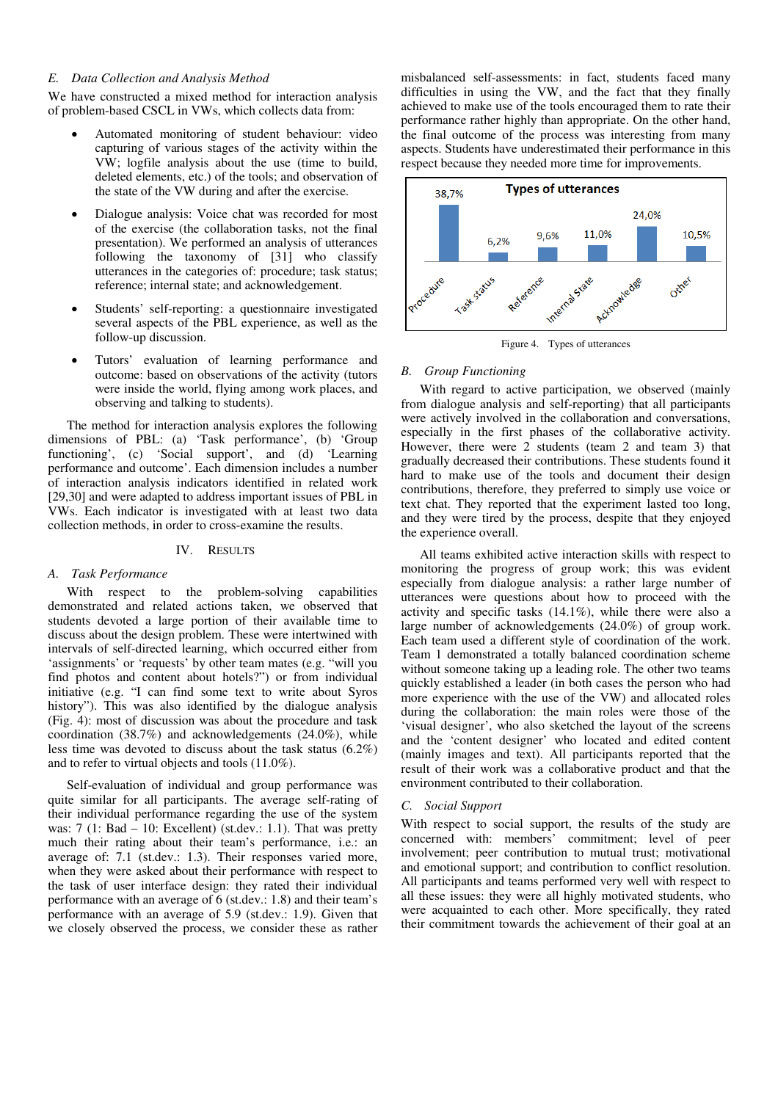## *E. Data Collection and Analysis Method*

We have constructed a mixed method for interaction analysis of problem-based CSCL in VWs, which collects data from:

- Automated monitoring of student behaviour: video capturing of various stages of the activity within the VW; logfile analysis about the use (time to build, deleted elements, etc.) of the tools; and observation of the state of the VW during and after the exercise.
- Dialogue analysis: Voice chat was recorded for most of the exercise (the collaboration tasks, not the final presentation). We performed an analysis of utterances following the taxonomy of [31] who classify utterances in the categories of: procedure; task status; reference; internal state; and acknowledgement.
- Students' self-reporting: a questionnaire investigated several aspects of the PBL experience, as well as the follow-up discussion.
- Tutors' evaluation of learning performance and outcome: based on observations of the activity (tutors were inside the world, flying among work places, and observing and talking to students).

The method for interaction analysis explores the following dimensions of PBL: (a) 'Task performance', (b) 'Group functioning', (c) 'Social support', and (d) 'Learning performance and outcome'. Each dimension includes a number of interaction analysis indicators identified in related work [29,30] and were adapted to address important issues of PBL in VWs. Each indicator is investigated with at least two data collection methods, in order to cross-examine the results.

#### IV. RESULTS

#### *A. Task Performance*

With respect to the problem-solving capabilities demonstrated and related actions taken, we observed that students devoted a large portion of their available time to discuss about the design problem. These were intertwined with intervals of self-directed learning, which occurred either from 'assignments' or 'requests' by other team mates (e.g. "will you find photos and content about hotels?") or from individual initiative (e.g. "I can find some text to write about Syros history"). This was also identified by the dialogue analysis (Fig. 4): most of discussion was about the procedure and task coordination (38.7%) and acknowledgements (24.0%), while less time was devoted to discuss about the task status (6.2%) and to refer to virtual objects and tools (11.0%).

Self-evaluation of individual and group performance was quite similar for all participants. The average self-rating of their individual performance regarding the use of the system was: 7 (1: Bad – 10: Excellent) (st.dev.: 1.1). That was pretty much their rating about their team's performance, i.e.: an average of: 7.1 (st.dev.: 1.3). Their responses varied more, when they were asked about their performance with respect to the task of user interface design: they rated their individual performance with an average of 6 (st.dev.: 1.8) and their team's performance with an average of 5.9 (st.dev.: 1.9). Given that we closely observed the process, we consider these as rather

misbalanced self-assessments: in fact, students faced many difficulties in using the VW, and the fact that they finally achieved to make use of the tools encouraged them to rate their performance rather highly than appropriate. On the other hand, the final outcome of the process was interesting from many aspects. Students have underestimated their performance in this respect because they needed more time for improvements.



Figure 4. Types of utterances

#### *B. Group Functioning*

With regard to active participation, we observed (mainly from dialogue analysis and self-reporting) that all participants were actively involved in the collaboration and conversations, especially in the first phases of the collaborative activity. However, there were 2 students (team 2 and team 3) that gradually decreased their contributions. These students found it hard to make use of the tools and document their design contributions, therefore, they preferred to simply use voice or text chat. They reported that the experiment lasted too long, and they were tired by the process, despite that they enjoyed the experience overall.

All teams exhibited active interaction skills with respect to monitoring the progress of group work; this was evident especially from dialogue analysis: a rather large number of utterances were questions about how to proceed with the activity and specific tasks (14.1%), while there were also a large number of acknowledgements (24.0%) of group work. Each team used a different style of coordination of the work. Team 1 demonstrated a totally balanced coordination scheme without someone taking up a leading role. The other two teams quickly established a leader (in both cases the person who had more experience with the use of the VW) and allocated roles during the collaboration: the main roles were those of the 'visual designer', who also sketched the layout of the screens and the 'content designer' who located and edited content (mainly images and text). All participants reported that the result of their work was a collaborative product and that the environment contributed to their collaboration.

#### *C. Social Support*

With respect to social support, the results of the study are concerned with: members' commitment; level of peer involvement; peer contribution to mutual trust; motivational and emotional support; and contribution to conflict resolution. All participants and teams performed very well with respect to all these issues: they were all highly motivated students, who were acquainted to each other. More specifically, they rated their commitment towards the achievement of their goal at an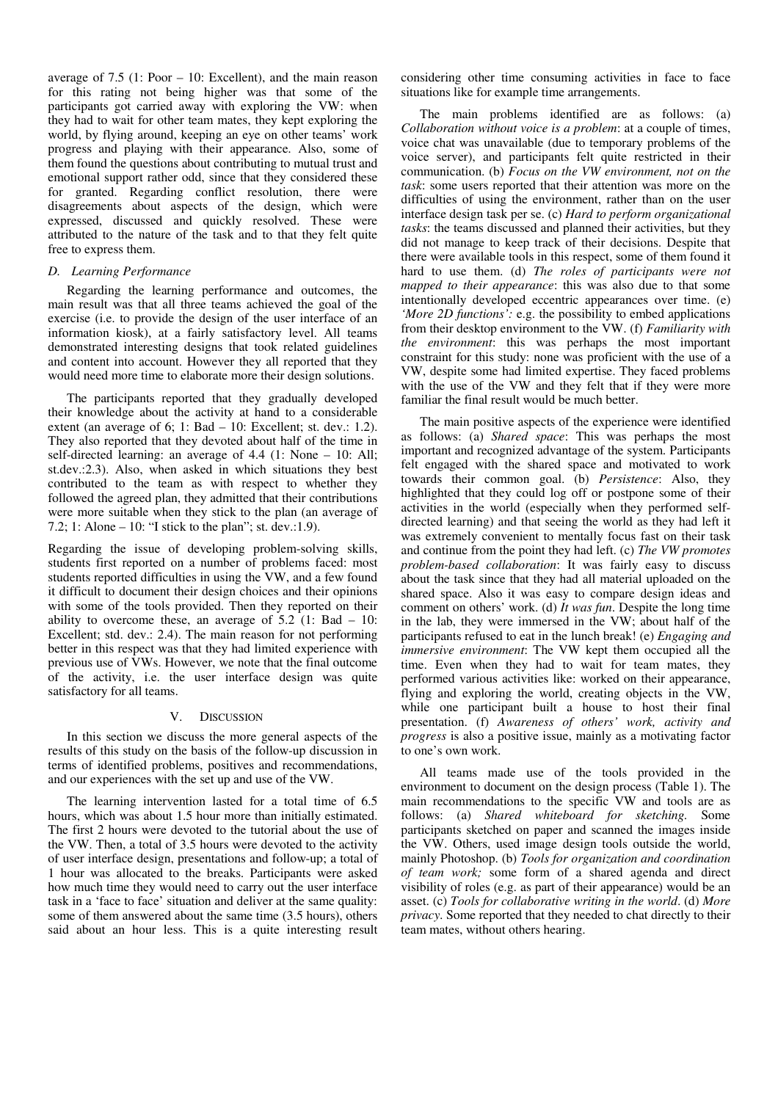average of 7.5 (1: Poor – 10: Excellent), and the main reason for this rating not being higher was that some of the participants got carried away with exploring the VW: when they had to wait for other team mates, they kept exploring the world, by flying around, keeping an eye on other teams' work progress and playing with their appearance. Also, some of them found the questions about contributing to mutual trust and emotional support rather odd, since that they considered these for granted. Regarding conflict resolution, there were disagreements about aspects of the design, which were expressed, discussed and quickly resolved. These were attributed to the nature of the task and to that they felt quite free to express them.

## *D. Learning Performance*

Regarding the learning performance and outcomes, the main result was that all three teams achieved the goal of the exercise (i.e. to provide the design of the user interface of an information kiosk), at a fairly satisfactory level. All teams demonstrated interesting designs that took related guidelines and content into account. However they all reported that they would need more time to elaborate more their design solutions.

The participants reported that they gradually developed their knowledge about the activity at hand to a considerable extent (an average of 6; 1: Bad  $-10$ : Excellent; st. dev.: 1.2). They also reported that they devoted about half of the time in self-directed learning: an average of 4.4 (1: None – 10: All; st.dev.:2.3). Also, when asked in which situations they best contributed to the team as with respect to whether they followed the agreed plan, they admitted that their contributions were more suitable when they stick to the plan (an average of 7.2; 1: Alone – 10: "I stick to the plan"; st. dev.:1.9).

Regarding the issue of developing problem-solving skills, students first reported on a number of problems faced: most students reported difficulties in using the VW, and a few found it difficult to document their design choices and their opinions with some of the tools provided. Then they reported on their ability to overcome these, an average of  $5.2$  (1: Bad – 10: Excellent; std. dev.: 2.4). The main reason for not performing better in this respect was that they had limited experience with previous use of VWs. However, we note that the final outcome of the activity, i.e. the user interface design was quite satisfactory for all teams.

#### V. DISCUSSION

In this section we discuss the more general aspects of the results of this study on the basis of the follow-up discussion in terms of identified problems, positives and recommendations, and our experiences with the set up and use of the VW.

The learning intervention lasted for a total time of 6.5 hours, which was about 1.5 hour more than initially estimated. The first 2 hours were devoted to the tutorial about the use of the VW. Then, a total of 3.5 hours were devoted to the activity of user interface design, presentations and follow-up; a total of 1 hour was allocated to the breaks. Participants were asked how much time they would need to carry out the user interface task in a 'face to face' situation and deliver at the same quality: some of them answered about the same time (3.5 hours), others said about an hour less. This is a quite interesting result

considering other time consuming activities in face to face situations like for example time arrangements.

The main problems identified are as follows: (a) *Collaboration without voice is a problem*: at a couple of times, voice chat was unavailable (due to temporary problems of the voice server), and participants felt quite restricted in their communication. (b) *Focus on the VW environment, not on the task*: some users reported that their attention was more on the difficulties of using the environment, rather than on the user interface design task per se. (c) *Hard to perform organizational tasks*: the teams discussed and planned their activities, but they did not manage to keep track of their decisions. Despite that there were available tools in this respect, some of them found it hard to use them. (d) *The roles of participants were not mapped to their appearance*: this was also due to that some intentionally developed eccentric appearances over time. (e) *'More 2D functions':* e.g. the possibility to embed applications from their desktop environment to the VW. (f) *Familiarity with the environment*: this was perhaps the most important constraint for this study: none was proficient with the use of a VW, despite some had limited expertise. They faced problems with the use of the VW and they felt that if they were more familiar the final result would be much better.

The main positive aspects of the experience were identified as follows: (a) *Shared space*: This was perhaps the most important and recognized advantage of the system. Participants felt engaged with the shared space and motivated to work towards their common goal. (b) *Persistence*: Also, they highlighted that they could log off or postpone some of their activities in the world (especially when they performed selfdirected learning) and that seeing the world as they had left it was extremely convenient to mentally focus fast on their task and continue from the point they had left. (c) *The VW promotes problem-based collaboration*: It was fairly easy to discuss about the task since that they had all material uploaded on the shared space. Also it was easy to compare design ideas and comment on others' work. (d) *It was fun*. Despite the long time in the lab, they were immersed in the VW; about half of the participants refused to eat in the lunch break! (e) *Engaging and immersive environment*: The VW kept them occupied all the time. Even when they had to wait for team mates, they performed various activities like: worked on their appearance, flying and exploring the world, creating objects in the VW, while one participant built a house to host their final presentation. (f) *Awareness of others' work, activity and progress* is also a positive issue, mainly as a motivating factor to one's own work.

All teams made use of the tools provided in the environment to document on the design process (Table 1). The main recommendations to the specific VW and tools are as follows: (a) *Shared whiteboard for sketching.* Some participants sketched on paper and scanned the images inside the VW. Others, used image design tools outside the world, mainly Photoshop. (b) *Tools for organization and coordination of team work;* some form of a shared agenda and direct visibility of roles (e.g. as part of their appearance) would be an asset. (c) *Tools for collaborative writing in the world*. (d) *More privacy*. Some reported that they needed to chat directly to their team mates, without others hearing.